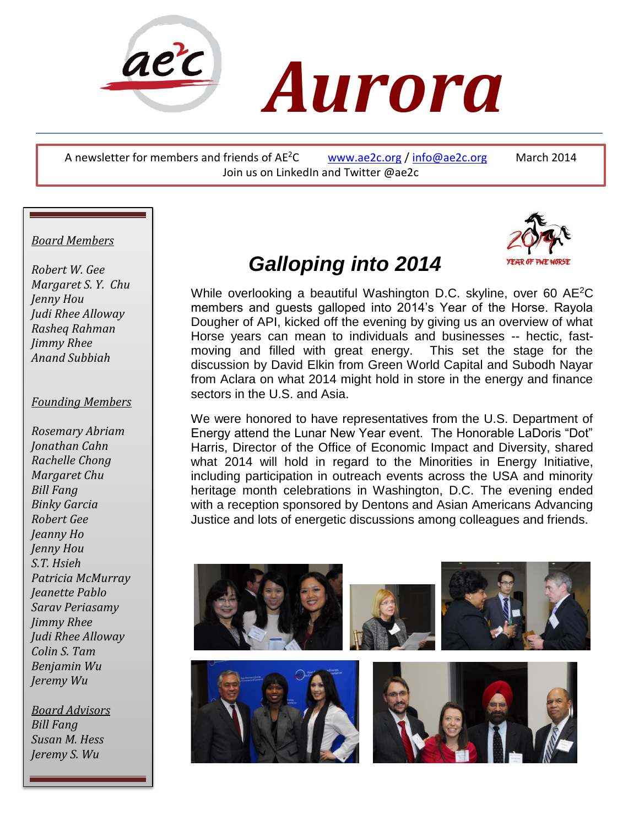

# *Aurora*

A newsletter for members and friends of  $AE^2C$  [www.ae2c.org](http://www.ae2c.org/) / [info@ae2c.org](mailto:info@ae2c.org) March 2014 Join us on LinkedIn and Twitter @ae2c

# *Board Members*

 *Rasheq Rahman Robert W. Gee Margaret S. Y. Chu Jenny Hou Judi Rhee Alloway Jimmy Rhee Anand Subbiah*

# *Founding Members*

 *Judi Rhee Alloway Jeremy Wu Rosemary Abriam Jonathan Cahn Rachelle Chong Margaret Chu Bill Fang Binky Garcia Robert Gee Jeanny Ho Jenny Hou S.T. Hsieh Patricia McMurray Jeanette Pablo Sarav Periasamy Jimmy Rhee Colin S. Tam Benjamin Wu*

*Board Advisors Bill Fang Susan M. Hess Jeremy S. Wu*

# *Galloping into 2014*

While overlooking a beautiful Washington D.C. skyline, over 60 AE<sup>2</sup>C members and guests galloped into 2014's Year of the Horse. Rayola Dougher of API, kicked off the evening by giving us an overview of what Horse years can mean to individuals and businesses -- hectic, fastmoving and filled with great energy. This set the stage for the discussion by David Elkin from Green World Capital and Subodh Nayar from Aclara on what 2014 might hold in store in the energy and finance sectors in the U.S. and Asia.

We were honored to have representatives from the U.S. Department of Energy attend the Lunar New Year event. The Honorable LaDoris "Dot" Harris, Director of the Office of Economic Impact and Diversity, shared what 2014 will hold in regard to the Minorities in Energy Initiative, including participation in outreach events across the USA and minority heritage month celebrations in Washington, D.C. The evening ended with a reception sponsored by Dentons and Asian Americans Advancing Justice and lots of energetic discussions among colleagues and friends.